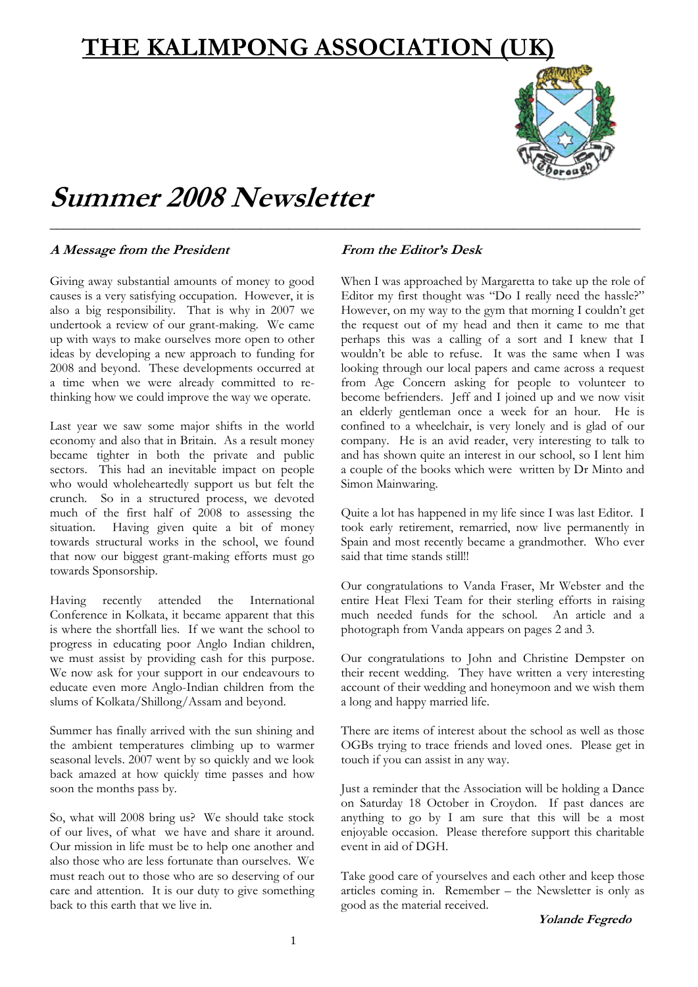# **THE KALIMPONG ASSOCIATION (UK)**

\_\_\_\_\_\_\_\_\_\_\_\_\_\_\_\_\_\_\_\_\_\_\_\_\_\_\_\_\_\_\_\_\_\_\_\_\_\_\_\_\_\_\_\_\_\_\_\_\_\_\_\_\_\_\_\_\_\_\_\_\_\_\_\_\_\_\_\_\_\_\_\_\_\_\_\_\_\_\_\_\_\_\_\_



# **Summer 2008 Newsletter**

#### **A Message from the President**

Giving away substantial amounts of money to good causes is a very satisfying occupation. However, it is also a big responsibility. That is why in 2007 we undertook a review of our grant-making. We came up with ways to make ourselves more open to other ideas by developing a new approach to funding for 2008 and beyond. These developments occurred at a time when we were already committed to rethinking how we could improve the way we operate.

Last year we saw some major shifts in the world economy and also that in Britain. As a result money became tighter in both the private and public sectors. This had an inevitable impact on people who would wholeheartedly support us but felt the crunch. So in a structured process, we devoted much of the first half of 2008 to assessing the situation. Having given quite a bit of money towards structural works in the school, we found that now our biggest grant-making efforts must go towards Sponsorship.

Having recently attended the International Conference in Kolkata, it became apparent that this is where the shortfall lies. If we want the school to progress in educating poor Anglo Indian children, we must assist by providing cash for this purpose. We now ask for your support in our endeavours to educate even more Anglo-Indian children from the slums of Kolkata/Shillong/Assam and beyond.

Summer has finally arrived with the sun shining and the ambient temperatures climbing up to warmer seasonal levels. 2007 went by so quickly and we look back amazed at how quickly time passes and how soon the months pass by.

So, what will 2008 bring us? We should take stock of our lives, of what we have and share it around. Our mission in life must be to help one another and also those who are less fortunate than ourselves. We must reach out to those who are so deserving of our care and attention. It is our duty to give something back to this earth that we live in.

#### **From the Editor's Desk**

When I was approached by Margaretta to take up the role of Editor my first thought was "Do I really need the hassle?" However, on my way to the gym that morning I couldn't get the request out of my head and then it came to me that perhaps this was a calling of a sort and I knew that I wouldn't be able to refuse. It was the same when I was looking through our local papers and came across a request from Age Concern asking for people to volunteer to become befrienders. Jeff and I joined up and we now visit an elderly gentleman once a week for an hour. He is confined to a wheelchair, is very lonely and is glad of our company. He is an avid reader, very interesting to talk to and has shown quite an interest in our school, so I lent him a couple of the books which were written by Dr Minto and Simon Mainwaring.

Quite a lot has happened in my life since I was last Editor. I took early retirement, remarried, now live permanently in Spain and most recently became a grandmother. Who ever said that time stands still!!

Our congratulations to Vanda Fraser, Mr Webster and the entire Heat Flexi Team for their sterling efforts in raising much needed funds for the school. An article and a photograph from Vanda appears on pages 2 and 3.

Our congratulations to John and Christine Dempster on their recent wedding. They have written a very interesting account of their wedding and honeymoon and we wish them a long and happy married life.

There are items of interest about the school as well as those OGBs trying to trace friends and loved ones. Please get in touch if you can assist in any way.

Just a reminder that the Association will be holding a Dance on Saturday 18 October in Croydon. If past dances are anything to go by I am sure that this will be a most enjoyable occasion. Please therefore support this charitable event in aid of DGH.

Take good care of yourselves and each other and keep those articles coming in. Remember – the Newsletter is only as good as the material received.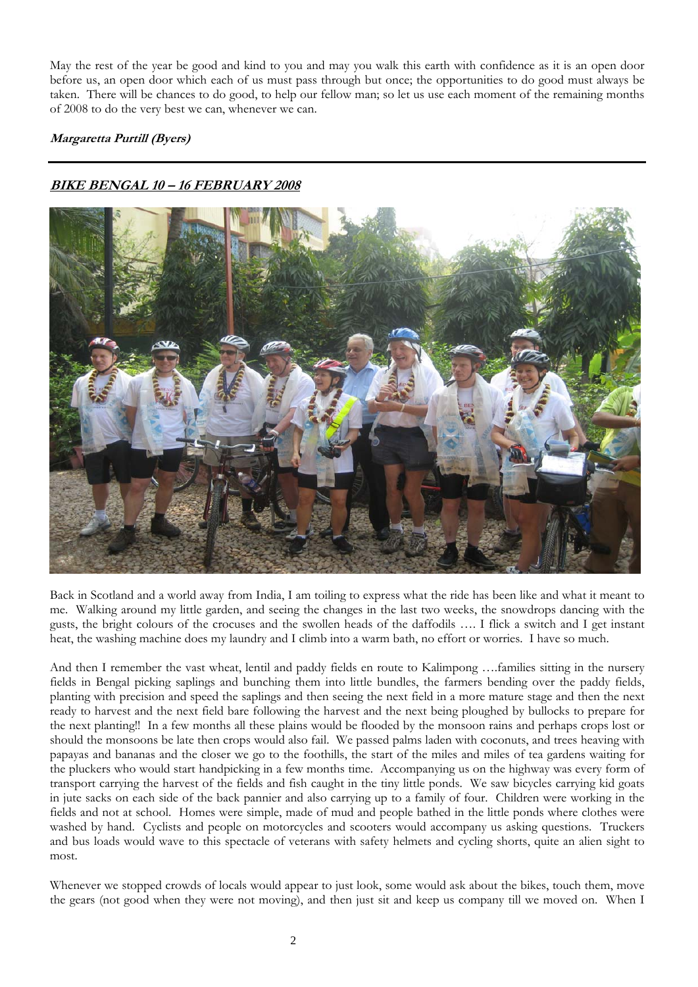May the rest of the year be good and kind to you and may you walk this earth with confidence as it is an open door before us, an open door which each of us must pass through but once; the opportunities to do good must always be taken. There will be chances to do good, to help our fellow man; so let us use each moment of the remaining months of 2008 to do the very best we can, whenever we can.

#### **Margaretta Purtill (Byers)**

#### **BIKE BENGAL 10 – 16 FEBRUARY 2008**



Back in Scotland and a world away from India, I am toiling to express what the ride has been like and what it meant to me. Walking around my little garden, and seeing the changes in the last two weeks, the snowdrops dancing with the gusts, the bright colours of the crocuses and the swollen heads of the daffodils …. I flick a switch and I get instant heat, the washing machine does my laundry and I climb into a warm bath, no effort or worries. I have so much.

And then I remember the vast wheat, lentil and paddy fields en route to Kalimpong ….families sitting in the nursery fields in Bengal picking saplings and bunching them into little bundles, the farmers bending over the paddy fields, planting with precision and speed the saplings and then seeing the next field in a more mature stage and then the next ready to harvest and the next field bare following the harvest and the next being ploughed by bullocks to prepare for the next planting!! In a few months all these plains would be flooded by the monsoon rains and perhaps crops lost or should the monsoons be late then crops would also fail. We passed palms laden with coconuts, and trees heaving with papayas and bananas and the closer we go to the foothills, the start of the miles and miles of tea gardens waiting for the pluckers who would start handpicking in a few months time. Accompanying us on the highway was every form of transport carrying the harvest of the fields and fish caught in the tiny little ponds. We saw bicycles carrying kid goats in jute sacks on each side of the back pannier and also carrying up to a family of four. Children were working in the fields and not at school. Homes were simple, made of mud and people bathed in the little ponds where clothes were washed by hand. Cyclists and people on motorcycles and scooters would accompany us asking questions. Truckers and bus loads would wave to this spectacle of veterans with safety helmets and cycling shorts, quite an alien sight to most.

Whenever we stopped crowds of locals would appear to just look, some would ask about the bikes, touch them, move the gears (not good when they were not moving), and then just sit and keep us company till we moved on. When I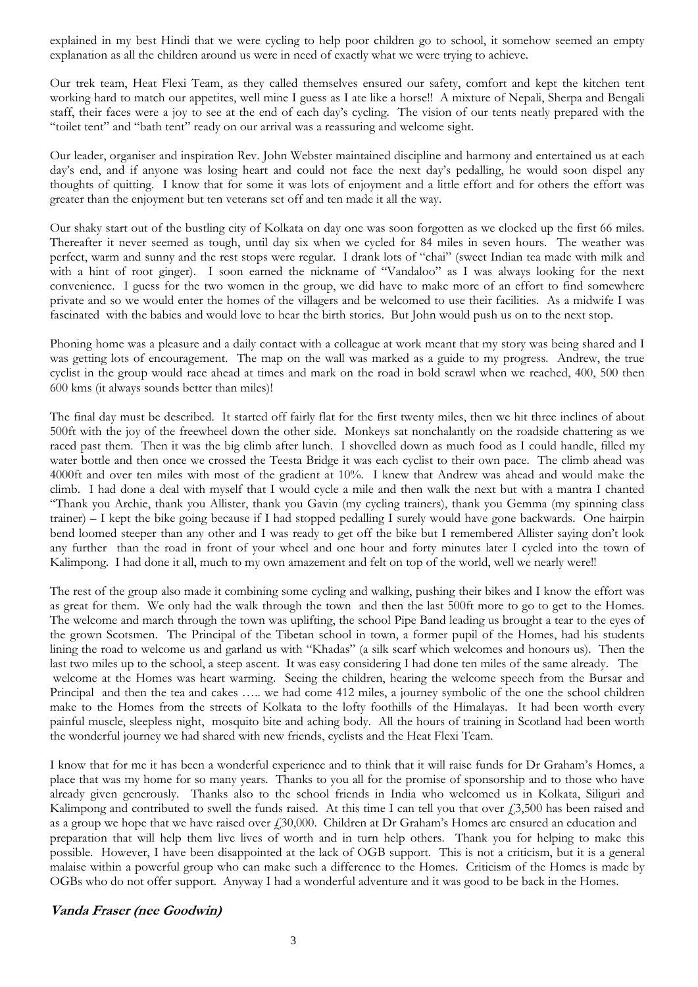explained in my best Hindi that we were cycling to help poor children go to school, it somehow seemed an empty explanation as all the children around us were in need of exactly what we were trying to achieve.

Our trek team, Heat Flexi Team, as they called themselves ensured our safety, comfort and kept the kitchen tent working hard to match our appetites, well mine I guess as I ate like a horse!! A mixture of Nepali, Sherpa and Bengali staff, their faces were a joy to see at the end of each day's cycling. The vision of our tents neatly prepared with the "toilet tent" and "bath tent" ready on our arrival was a reassuring and welcome sight.

Our leader, organiser and inspiration Rev. John Webster maintained discipline and harmony and entertained us at each day's end, and if anyone was losing heart and could not face the next day's pedalling, he would soon dispel any thoughts of quitting. I know that for some it was lots of enjoyment and a little effort and for others the effort was greater than the enjoyment but ten veterans set off and ten made it all the way.

Our shaky start out of the bustling city of Kolkata on day one was soon forgotten as we clocked up the first 66 miles. Thereafter it never seemed as tough, until day six when we cycled for 84 miles in seven hours. The weather was perfect, warm and sunny and the rest stops were regular. I drank lots of "chai" (sweet Indian tea made with milk and with a hint of root ginger). I soon earned the nickname of "Vandaloo" as I was always looking for the next convenience. I guess for the two women in the group, we did have to make more of an effort to find somewhere private and so we would enter the homes of the villagers and be welcomed to use their facilities. As a midwife I was fascinated with the babies and would love to hear the birth stories. But John would push us on to the next stop.

Phoning home was a pleasure and a daily contact with a colleague at work meant that my story was being shared and I was getting lots of encouragement. The map on the wall was marked as a guide to my progress. Andrew, the true cyclist in the group would race ahead at times and mark on the road in bold scrawl when we reached, 400, 500 then 600 kms (it always sounds better than miles)!

The final day must be described. It started off fairly flat for the first twenty miles, then we hit three inclines of about 500ft with the joy of the freewheel down the other side. Monkeys sat nonchalantly on the roadside chattering as we raced past them. Then it was the big climb after lunch. I shovelled down as much food as I could handle, filled my water bottle and then once we crossed the Teesta Bridge it was each cyclist to their own pace. The climb ahead was 4000ft and over ten miles with most of the gradient at 10%. I knew that Andrew was ahead and would make the climb. I had done a deal with myself that I would cycle a mile and then walk the next but with a mantra I chanted "Thank you Archie, thank you Allister, thank you Gavin (my cycling trainers), thank you Gemma (my spinning class trainer) – I kept the bike going because if I had stopped pedalling I surely would have gone backwards. One hairpin bend loomed steeper than any other and I was ready to get off the bike but I remembered Allister saying don't look any further than the road in front of your wheel and one hour and forty minutes later I cycled into the town of Kalimpong. I had done it all, much to my own amazement and felt on top of the world, well we nearly were!!

The rest of the group also made it combining some cycling and walking, pushing their bikes and I know the effort was as great for them. We only had the walk through the town and then the last 500ft more to go to get to the Homes. The welcome and march through the town was uplifting, the school Pipe Band leading us brought a tear to the eyes of the grown Scotsmen. The Principal of the Tibetan school in town, a former pupil of the Homes, had his students lining the road to welcome us and garland us with "Khadas" (a silk scarf which welcomes and honours us). Then the last two miles up to the school, a steep ascent. It was easy considering I had done ten miles of the same already. The welcome at the Homes was heart warming. Seeing the children, hearing the welcome speech from the Bursar and Principal and then the tea and cakes ….. we had come 412 miles, a journey symbolic of the one the school children make to the Homes from the streets of Kolkata to the lofty foothills of the Himalayas. It had been worth every painful muscle, sleepless night, mosquito bite and aching body. All the hours of training in Scotland had been worth the wonderful journey we had shared with new friends, cyclists and the Heat Flexi Team.

I know that for me it has been a wonderful experience and to think that it will raise funds for Dr Graham's Homes, a place that was my home for so many years. Thanks to you all for the promise of sponsorship and to those who have already given generously. Thanks also to the school friends in India who welcomed us in Kolkata, Siliguri and Kalimpong and contributed to swell the funds raised. At this time I can tell you that over  $\text{\emph{f}}3,500$  has been raised and as a group we hope that we have raised over £30,000. Children at Dr Graham's Homes are ensured an education and preparation that will help them live lives of worth and in turn help others. Thank you for helping to make this possible. However, I have been disappointed at the lack of OGB support. This is not a criticism, but it is a general malaise within a powerful group who can make such a difference to the Homes. Criticism of the Homes is made by OGBs who do not offer support. Anyway I had a wonderful adventure and it was good to be back in the Homes.

#### **Vanda Fraser (nee Goodwin)**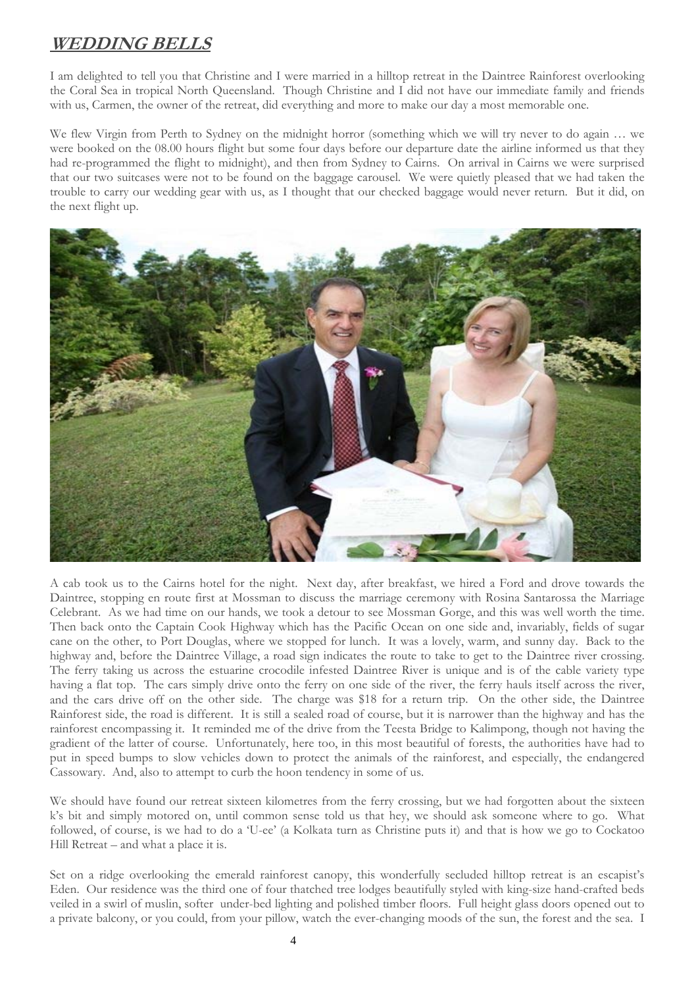### **WEDDING BELLS**

I am delighted to tell you that Christine and I were married in a hilltop retreat in the Daintree Rainforest overlooking the Coral Sea in tropical North Queensland. Though Christine and I did not have our immediate family and friends with us, Carmen, the owner of the retreat, did everything and more to make our day a most memorable one.

We flew Virgin from Perth to Sydney on the midnight horror (something which we will try never to do again … we were booked on the 08.00 hours flight but some four days before our departure date the airline informed us that they had re-programmed the flight to midnight), and then from Sydney to Cairns. On arrival in Cairns we were surprised that our two suitcases were not to be found on the baggage carousel. We were quietly pleased that we had taken the trouble to carry our wedding gear with us, as I thought that our checked baggage would never return. But it did, on the next flight up.



A cab took us to the Cairns hotel for the night. Next day, after breakfast, we hired a Ford and drove towards the Daintree, stopping en route first at Mossman to discuss the marriage ceremony with Rosina Santarossa the Marriage Celebrant. As we had time on our hands, we took a detour to see Mossman Gorge, and this was well worth the time. Then back onto the Captain Cook Highway which has the Pacific Ocean on one side and, invariably, fields of sugar cane on the other, to Port Douglas, where we stopped for lunch. It was a lovely, warm, and sunny day. Back to the highway and, before the Daintree Village, a road sign indicates the route to take to get to the Daintree river crossing. The ferry taking us across the estuarine crocodile infested Daintree River is unique and is of the cable variety type having a flat top. The cars simply drive onto the ferry on one side of the river, the ferry hauls itself across the river, and the cars drive off on the other side. The charge was \$18 for a return trip. On the other side, the Daintree Rainforest side, the road is different. It is still a sealed road of course, but it is narrower than the highway and has the rainforest encompassing it. It reminded me of the drive from the Teesta Bridge to Kalimpong, though not having the gradient of the latter of course. Unfortunately, here too, in this most beautiful of forests, the authorities have had to put in speed bumps to slow vehicles down to protect the animals of the rainforest, and especially, the endangered Cassowary. And, also to attempt to curb the hoon tendency in some of us.

We should have found our retreat sixteen kilometres from the ferry crossing, but we had forgotten about the sixteen k's bit and simply motored on, until common sense told us that hey, we should ask someone where to go. What followed, of course, is we had to do a 'U-ee' (a Kolkata turn as Christine puts it) and that is how we go to Cockatoo Hill Retreat – and what a place it is.

Set on a ridge overlooking the emerald rainforest canopy, this wonderfully secluded hilltop retreat is an escapist's Eden. Our residence was the third one of four thatched tree lodges beautifully styled with king-size hand-crafted beds veiled in a swirl of muslin, softer under-bed lighting and polished timber floors. Full height glass doors opened out to a private balcony, or you could, from your pillow, watch the ever-changing moods of the sun, the forest and the sea. I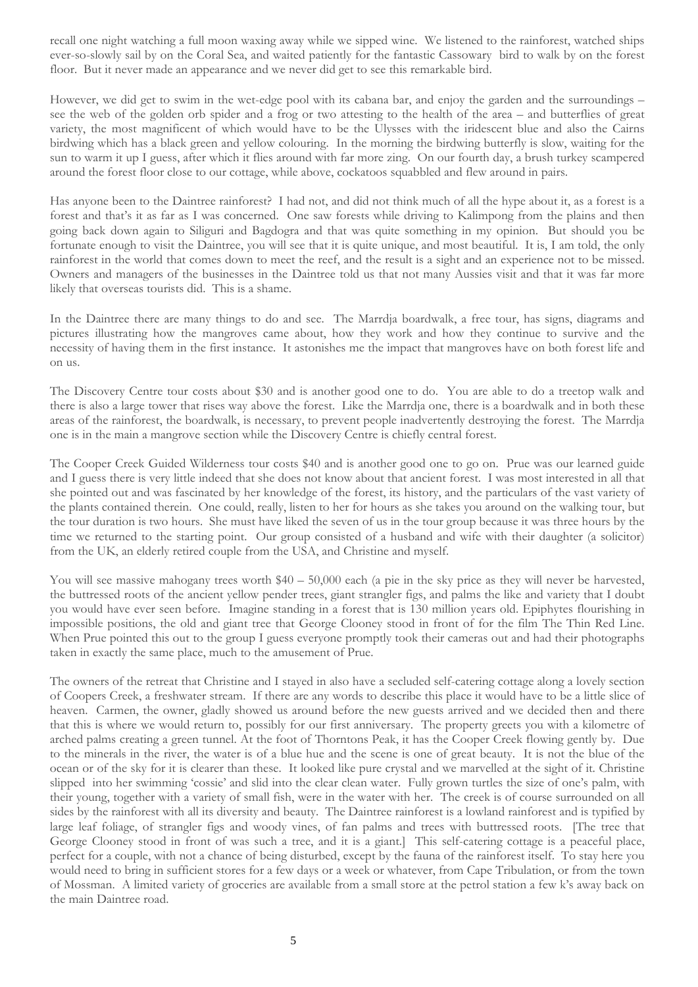recall one night watching a full moon waxing away while we sipped wine. We listened to the rainforest, watched ships ever-so-slowly sail by on the Coral Sea, and waited patiently for the fantastic Cassowary bird to walk by on the forest floor. But it never made an appearance and we never did get to see this remarkable bird.

However, we did get to swim in the wet-edge pool with its cabana bar, and enjoy the garden and the surroundings – see the web of the golden orb spider and a frog or two attesting to the health of the area – and butterflies of great variety, the most magnificent of which would have to be the Ulysses with the iridescent blue and also the Cairns birdwing which has a black green and yellow colouring. In the morning the birdwing butterfly is slow, waiting for the sun to warm it up I guess, after which it flies around with far more zing. On our fourth day, a brush turkey scampered around the forest floor close to our cottage, while above, cockatoos squabbled and flew around in pairs.

Has anyone been to the Daintree rainforest? I had not, and did not think much of all the hype about it, as a forest is a forest and that's it as far as I was concerned. One saw forests while driving to Kalimpong from the plains and then going back down again to Siliguri and Bagdogra and that was quite something in my opinion. But should you be fortunate enough to visit the Daintree, you will see that it is quite unique, and most beautiful. It is, I am told, the only rainforest in the world that comes down to meet the reef, and the result is a sight and an experience not to be missed. Owners and managers of the businesses in the Daintree told us that not many Aussies visit and that it was far more likely that overseas tourists did. This is a shame.

In the Daintree there are many things to do and see. The Marrdja boardwalk, a free tour, has signs, diagrams and pictures illustrating how the mangroves came about, how they work and how they continue to survive and the necessity of having them in the first instance. It astonishes me the impact that mangroves have on both forest life and on us.

The Discovery Centre tour costs about \$30 and is another good one to do. You are able to do a treetop walk and there is also a large tower that rises way above the forest. Like the Marrdja one, there is a boardwalk and in both these areas of the rainforest, the boardwalk, is necessary, to prevent people inadvertently destroying the forest. The Marrdja one is in the main a mangrove section while the Discovery Centre is chiefly central forest.

The Cooper Creek Guided Wilderness tour costs \$40 and is another good one to go on. Prue was our learned guide and I guess there is very little indeed that she does not know about that ancient forest. I was most interested in all that she pointed out and was fascinated by her knowledge of the forest, its history, and the particulars of the vast variety of the plants contained therein. One could, really, listen to her for hours as she takes you around on the walking tour, but the tour duration is two hours. She must have liked the seven of us in the tour group because it was three hours by the time we returned to the starting point. Our group consisted of a husband and wife with their daughter (a solicitor) from the UK, an elderly retired couple from the USA, and Christine and myself.

You will see massive mahogany trees worth \$40 – 50,000 each (a pie in the sky price as they will never be harvested, the buttressed roots of the ancient yellow pender trees, giant strangler figs, and palms the like and variety that I doubt you would have ever seen before. Imagine standing in a forest that is 130 million years old. Epiphytes flourishing in impossible positions, the old and giant tree that George Clooney stood in front of for the film The Thin Red Line. When Prue pointed this out to the group I guess everyone promptly took their cameras out and had their photographs taken in exactly the same place, much to the amusement of Prue.

The owners of the retreat that Christine and I stayed in also have a secluded self-catering cottage along a lovely section of Coopers Creek, a freshwater stream. If there are any words to describe this place it would have to be a little slice of heaven. Carmen, the owner, gladly showed us around before the new guests arrived and we decided then and there that this is where we would return to, possibly for our first anniversary. The property greets you with a kilometre of arched palms creating a green tunnel. At the foot of Thorntons Peak, it has the Cooper Creek flowing gently by. Due to the minerals in the river, the water is of a blue hue and the scene is one of great beauty. It is not the blue of the ocean or of the sky for it is clearer than these. It looked like pure crystal and we marvelled at the sight of it. Christine slipped into her swimming 'cossie' and slid into the clear clean water. Fully grown turtles the size of one's palm, with their young, together with a variety of small fish, were in the water with her. The creek is of course surrounded on all sides by the rainforest with all its diversity and beauty. The Daintree rainforest is a lowland rainforest and is typified by large leaf foliage, of strangler figs and woody vines, of fan palms and trees with buttressed roots. [The tree that George Clooney stood in front of was such a tree, and it is a giant.] This self-catering cottage is a peaceful place, perfect for a couple, with not a chance of being disturbed, except by the fauna of the rainforest itself. To stay here you would need to bring in sufficient stores for a few days or a week or whatever, from Cape Tribulation, or from the town of Mossman. A limited variety of groceries are available from a small store at the petrol station a few k's away back on the main Daintree road.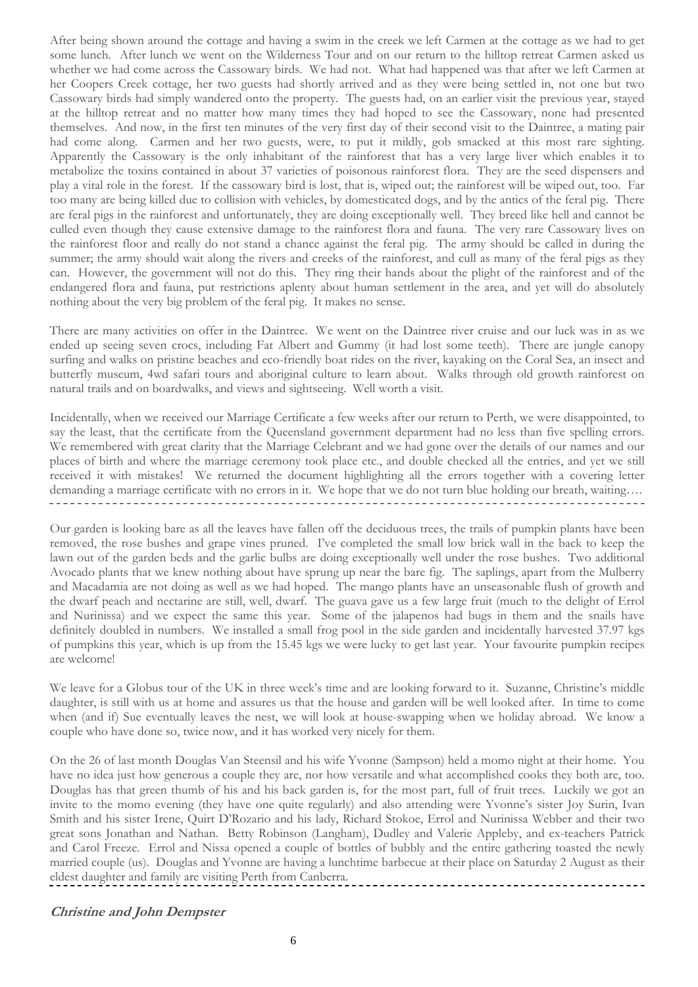After being shown around the cottage and having a swim in the creek we left Carmen at the cottage as we had to get some lunch. After lunch we went on the Wilderness Tour and on our return to the hilltop retreat Carmen asked us whether we had come across the Cassowary birds. We had not. What had happened was that after we left Carmen at her Coopers Creek cottage, her two guests had shortly arrived and as they were being settled in, not one but two Cassowary birds had simply wandered onto the property. The guests had, on an earlier visit the previous year, stayed at the hilltop retreat and no matter how many times they had hoped to see the Cassowary, none had presented themselves. And now, in the first ten minutes of the very first day of their second visit to the Daintree, a mating pair had come along. Carmen and her two guests, were, to put it mildly, gob smacked at this most rare sighting. Apparently the Cassowary is the only inhabitant of the rainforest that has a very large liver which enables it to metabolize the toxins contained in about 37 varieties of poisonous rainforest flora. They are the seed dispensers and play a vital role in the forest. If the cassowary bird is lost, that is, wiped out; the rainforest will be wiped out, too. Far too many are being killed due to collision with vehicles, by domesticated dogs, and by the antics of the feral pig. There are feral pigs in the rainforest and unfortunately, they are doing exceptionally well. They breed like hell and cannot be culled even though they cause extensive damage to the rainforest flora and fauna. The very rare Cassowary lives on the rainforest floor and really do not stand a chance against the feral pig. The army should be called in during the summer; the army should wait along the rivers and creeks of the rainforest, and cull as many of the feral pigs as they can. However, the government will not do this. They ring their hands about the plight of the rainforest and of the endangered flora and fauna, put restrictions aplenty about human settlement in the area, and yet will do absolutely nothing about the very big problem of the feral pig. It makes no sense.

There are many activities on offer in the Daintree. We went on the Daintree river cruise and our luck was in as we ended up seeing seven crocs, including Fat Albert and Gummy (it had lost some teeth). There are jungle canopy surfing and walks on pristine beaches and eco-friendly boat rides on the river, kayaking on the Coral Sea, an insect and butterfly museum, 4wd safari tours and aboriginal culture to learn about. Walks through old growth rainforest on natural trails and on boardwalks, and views and sightseeing. Well worth a visit.

Incidentally, when we received our Marriage Certificate a few weeks after our return to Perth, we were disappointed, to say the least, that the certificate from the Queensland government department had no less than five spelling errors. We remembered with great clarity that the Marriage Celebrant and we had gone over the details of our names and our places of birth and where the marriage ceremony took place etc., and double checked all the entries, and yet we still received it with mistakes! We returned the document highlighting all the errors together with a covering letter demanding a marriage certificate with no errors in it. We hope that we do not turn blue holding our breath, waiting….

Our garden is looking bare as all the leaves have fallen off the deciduous trees, the trails of pumpkin plants have been removed, the rose bushes and grape vines pruned. I've completed the small low brick wall in the back to keep the lawn out of the garden beds and the garlic bulbs are doing exceptionally well under the rose bushes. Two additional Avocado plants that we knew nothing about have sprung up near the bare fig. The saplings, apart from the Mulberry and Macadamia are not doing as well as we had hoped. The mango plants have an unseasonable flush of growth and the dwarf peach and nectarine are still, well, dwarf. The guava gave us a few large fruit (much to the delight of Errol and Nurinissa) and we expect the same this year. Some of the jalapenos had bugs in them and the snails have definitely doubled in numbers. We installed a small frog pool in the side garden and incidentally harvested 37.97 kgs of pumpkins this year, which is up from the 15.45 kgs we were lucky to get last year. Your favourite pumpkin recipes are welcome!

We leave for a Globus tour of the UK in three week's time and are looking forward to it. Suzanne, Christine's middle daughter, is still with us at home and assures us that the house and garden will be well looked after. In time to come when (and if) Sue eventually leaves the nest, we will look at house-swapping when we holiday abroad. We know a couple who have done so, twice now, and it has worked very nicely for them.

On the 26 of last month Douglas Van Steensil and his wife Yvonne (Sampson) held a momo night at their home. You have no idea just how generous a couple they are, nor how versatile and what accomplished cooks they both are, too. Douglas has that green thumb of his and his back garden is, for the most part, full of fruit trees. Luckily we got an invite to the momo evening (they have one quite regularly) and also attending were Yvonne's sister Joy Surin, Ivan Smith and his sister Irene, Quirt D'Rozario and his lady, Richard Stokoe, Errol and Nurinissa Webber and their two great sons Jonathan and Nathan. Betty Robinson (Langham), Dudley and Valerie Appleby, and ex-teachers Patrick and Carol Freeze. Errol and Nissa opened a couple of bottles of bubbly and the entire gathering toasted the newly married couple (us). Douglas and Yvonne are having a lunchtime barbecue at their place on Saturday 2 August as their eldest daughter and family are visiting Perth from Canberra.

#### **Christine and John Dempster**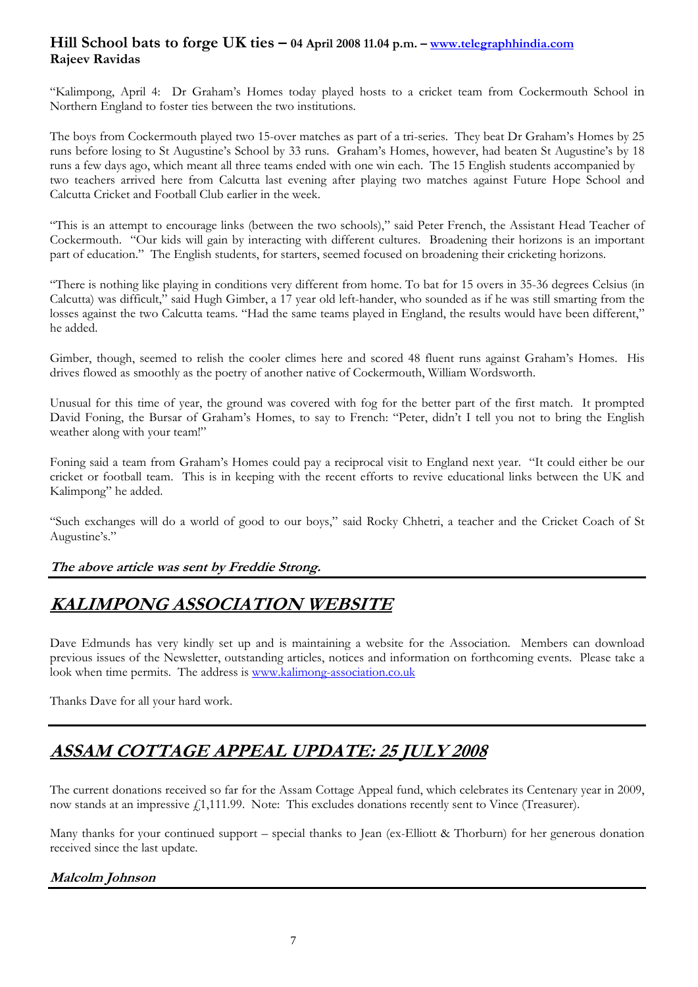#### **Hill School bats to forge UK ties – 04 April 2008 11.04 p.m. – [www.telegraphhindia.com](http://www.telegraphhindia.com/) Rajeev Ravidas**

"Kalimpong, April 4: Dr Graham's Homes today played hosts to a cricket team from Cockermouth School in Northern England to foster ties between the two institutions.

The boys from Cockermouth played two 15-over matches as part of a tri-series. They beat Dr Graham's Homes by 25 runs before losing to St Augustine's School by 33 runs. Graham's Homes, however, had beaten St Augustine's by 18 runs a few days ago, which meant all three teams ended with one win each. The 15 English students accompanied by two teachers arrived here from Calcutta last evening after playing two matches against Future Hope School and Calcutta Cricket and Football Club earlier in the week.

"This is an attempt to encourage links (between the two schools)," said Peter French, the Assistant Head Teacher of Cockermouth. "Our kids will gain by interacting with different cultures. Broadening their horizons is an important part of education." The English students, for starters, seemed focused on broadening their cricketing horizons.

"There is nothing like playing in conditions very different from home. To bat for 15 overs in 35-36 degrees Celsius (in Calcutta) was difficult," said Hugh Gimber, a 17 year old left-hander, who sounded as if he was still smarting from the losses against the two Calcutta teams. "Had the same teams played in England, the results would have been different," he added.

Gimber, though, seemed to relish the cooler climes here and scored 48 fluent runs against Graham's Homes. His drives flowed as smoothly as the poetry of another native of Cockermouth, William Wordsworth.

Unusual for this time of year, the ground was covered with fog for the better part of the first match. It prompted David Foning, the Bursar of Graham's Homes, to say to French: "Peter, didn't I tell you not to bring the English weather along with your team!"

Foning said a team from Graham's Homes could pay a reciprocal visit to England next year. "It could either be our cricket or football team. This is in keeping with the recent efforts to revive educational links between the UK and Kalimpong" he added.

"Such exchanges will do a world of good to our boys," said Rocky Chhetri, a teacher and the Cricket Coach of St Augustine's."

#### **The above article was sent by Freddie Strong.**

### **KALIMPONG ASSOCIATION WEBSITE**

Dave Edmunds has very kindly set up and is maintaining a website for the Association. Members can download previous issues of the Newsletter, outstanding articles, notices and information on forthcoming events. Please take a look when time permits. The address is [www.kalimong-association.co.uk](http://www.kalimong-association.co.uk/)

Thanks Dave for all your hard work.

## **ASSAM COTTAGE APPEAL UPDATE: 25 JULY 2008**

The current donations received so far for the Assam Cottage Appeal fund, which celebrates its Centenary year in 2009, now stands at an impressive  $f_1$ 1,111.99. Note: This excludes donations recently sent to Vince (Treasurer).

Many thanks for your continued support – special thanks to Jean (ex-Elliott & Thorburn) for her generous donation received since the last update.

#### **Malcolm Johnson**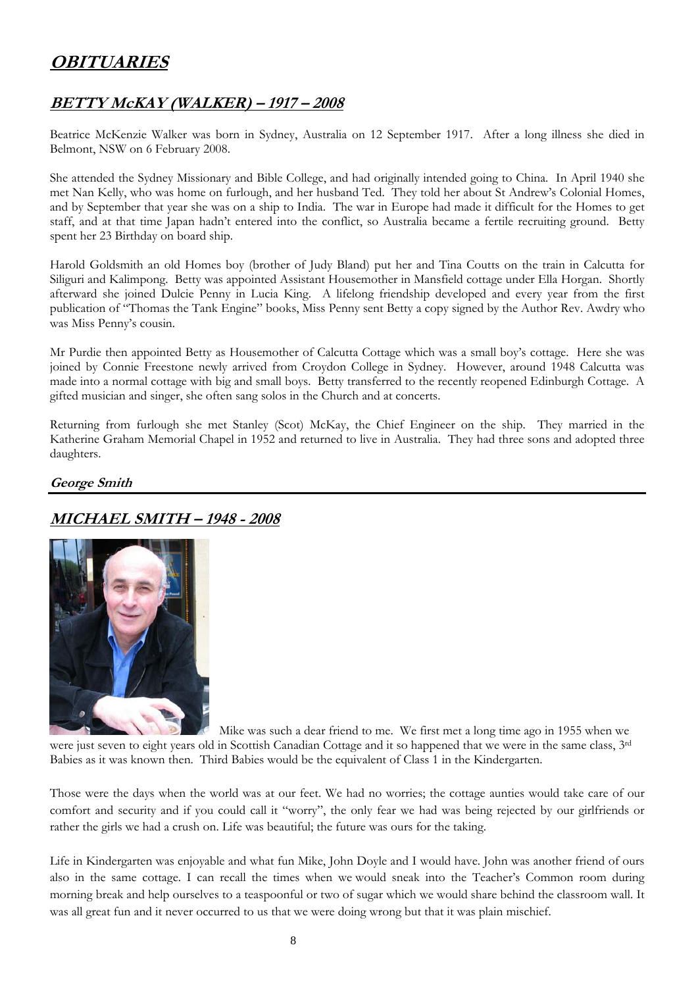## **OBITUARIES**

#### **BETTY McKAY (WALKER) – 1917 – 2008**

Beatrice McKenzie Walker was born in Sydney, Australia on 12 September 1917. After a long illness she died in Belmont, NSW on 6 February 2008.

She attended the Sydney Missionary and Bible College, and had originally intended going to China. In April 1940 she met Nan Kelly, who was home on furlough, and her husband Ted. They told her about St Andrew's Colonial Homes, and by September that year she was on a ship to India. The war in Europe had made it difficult for the Homes to get staff, and at that time Japan hadn't entered into the conflict, so Australia became a fertile recruiting ground. Betty spent her 23 Birthday on board ship.

Harold Goldsmith an old Homes boy (brother of Judy Bland) put her and Tina Coutts on the train in Calcutta for Siliguri and Kalimpong. Betty was appointed Assistant Housemother in Mansfield cottage under Ella Horgan. Shortly afterward she joined Dulcie Penny in Lucia King. A lifelong friendship developed and every year from the first publication of "Thomas the Tank Engine" books, Miss Penny sent Betty a copy signed by the Author Rev. Awdry who was Miss Penny's cousin.

Mr Purdie then appointed Betty as Housemother of Calcutta Cottage which was a small boy's cottage. Here she was joined by Connie Freestone newly arrived from Croydon College in Sydney. However, around 1948 Calcutta was made into a normal cottage with big and small boys. Betty transferred to the recently reopened Edinburgh Cottage. A gifted musician and singer, she often sang solos in the Church and at concerts.

Returning from furlough she met Stanley (Scot) McKay, the Chief Engineer on the ship. They married in the Katherine Graham Memorial Chapel in 1952 and returned to live in Australia. They had three sons and adopted three daughters.

#### **George Smith**

### **MICHAEL SMITH – 1948 - 2008**



Mike was such a dear friend to me. We first met a long time ago in 1955 when we were just seven to eight years old in Scottish Canadian Cottage and it so happened that we were in the same class, 3rd Babies as it was known then. Third Babies would be the equivalent of Class 1 in the Kindergarten.

Those were the days when the world was at our feet. We had no worries; the cottage aunties would take care of our comfort and security and if you could call it "worry", the only fear we had was being rejected by our girlfriends or rather the girls we had a crush on. Life was beautiful; the future was ours for the taking.

Life in Kindergarten was enjoyable and what fun Mike, John Doyle and I would have. John was another friend of ours also in the same cottage. I can recall the times when we would sneak into the Teacher's Common room during morning break and help ourselves to a teaspoonful or two of sugar which we would share behind the classroom wall. It was all great fun and it never occurred to us that we were doing wrong but that it was plain mischief.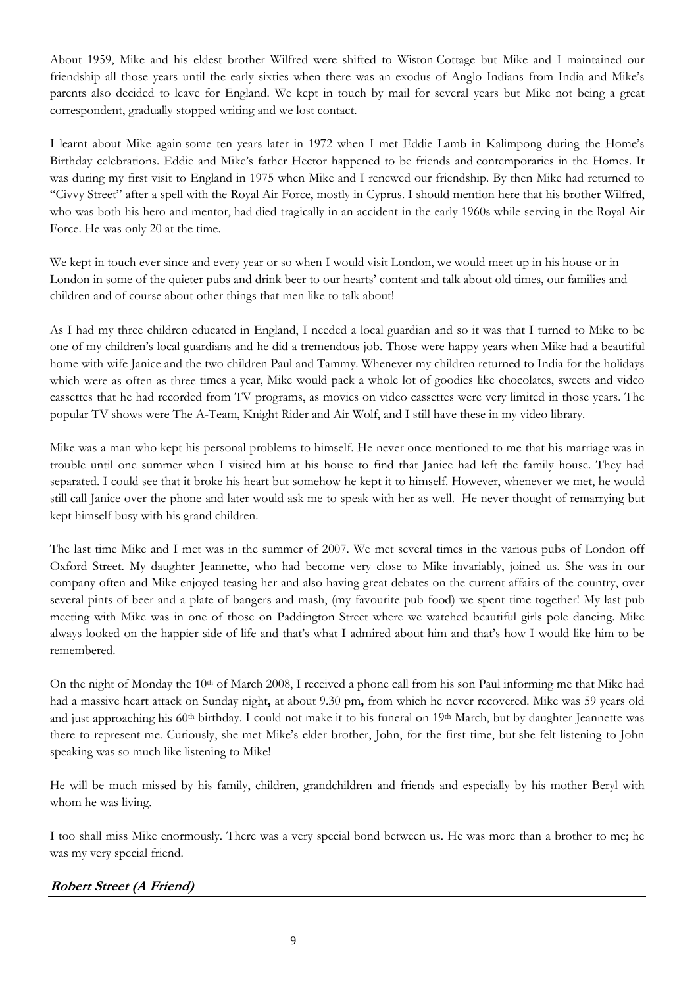About 1959, Mike and his eldest brother Wilfred were shifted to Wiston Cottage but Mike and I maintained our friendship all those years until the early sixties when there was an exodus of Anglo Indians from India and Mike's parents also decided to leave for England. We kept in touch by mail for several years but Mike not being a great correspondent, gradually stopped writing and we lost contact.

I learnt about Mike again some ten years later in 1972 when I met Eddie Lamb in Kalimpong during the Home's Birthday celebrations. Eddie and Mike's father Hector happened to be friends and contemporaries in the Homes. It was during my first visit to England in 1975 when Mike and I renewed our friendship. By then Mike had returned to "Civvy Street" after a spell with the Royal Air Force, mostly in Cyprus. I should mention here that his brother Wilfred, who was both his hero and mentor, had died tragically in an accident in the early 1960s while serving in the Royal Air Force. He was only 20 at the time.

We kept in touch ever since and every year or so when I would visit London, we would meet up in his house or in London in some of the quieter pubs and drink beer to our hearts' content and talk about old times, our families and children and of course about other things that men like to talk about!

As I had my three children educated in England, I needed a local guardian and so it was that I turned to Mike to be one of my children's local guardians and he did a tremendous job. Those were happy years when Mike had a beautiful home with wife Janice and the two children Paul and Tammy. Whenever my children returned to India for the holidays which were as often as three times a year, Mike would pack a whole lot of goodies like chocolates, sweets and video cassettes that he had recorded from TV programs, as movies on video cassettes were very limited in those years. The popular TV shows were The A-Team, Knight Rider and Air Wolf, and I still have these in my video library.

Mike was a man who kept his personal problems to himself. He never once mentioned to me that his marriage was in trouble until one summer when I visited him at his house to find that Janice had left the family house. They had separated. I could see that it broke his heart but somehow he kept it to himself. However, whenever we met, he would still call Janice over the phone and later would ask me to speak with her as well. He never thought of remarrying but kept himself busy with his grand children.

The last time Mike and I met was in the summer of 2007. We met several times in the various pubs of London off Oxford Street. My daughter Jeannette, who had become very close to Mike invariably, joined us. She was in our company often and Mike enjoyed teasing her and also having great debates on the current affairs of the country, over several pints of beer and a plate of bangers and mash, (my favourite pub food) we spent time together! My last pub meeting with Mike was in one of those on Paddington Street where we watched beautiful girls pole dancing. Mike always looked on the happier side of life and that's what I admired about him and that's how I would like him to be remembered.

On the night of Monday the 10<sup>th</sup> of March 2008, I received a phone call from his son Paul informing me that Mike had had a massive heart attack on Sunday night**,** at about 9.30 pm**,** from which he never recovered. Mike was 59 years old and just approaching his  $60<sup>th</sup>$  birthday. I could not make it to his funeral on  $19<sup>th</sup>$  March, but by daughter Jeannette was there to represent me. Curiously, she met Mike's elder brother, John, for the first time, but she felt listening to John speaking was so much like listening to Mike!

He will be much missed by his family, children, grandchildren and friends and especially by his mother Beryl with whom he was living.

I too shall miss Mike enormously. There was a very special bond between us. He was more than a brother to me; he was my very special friend.

#### **Robert Street (A Friend)**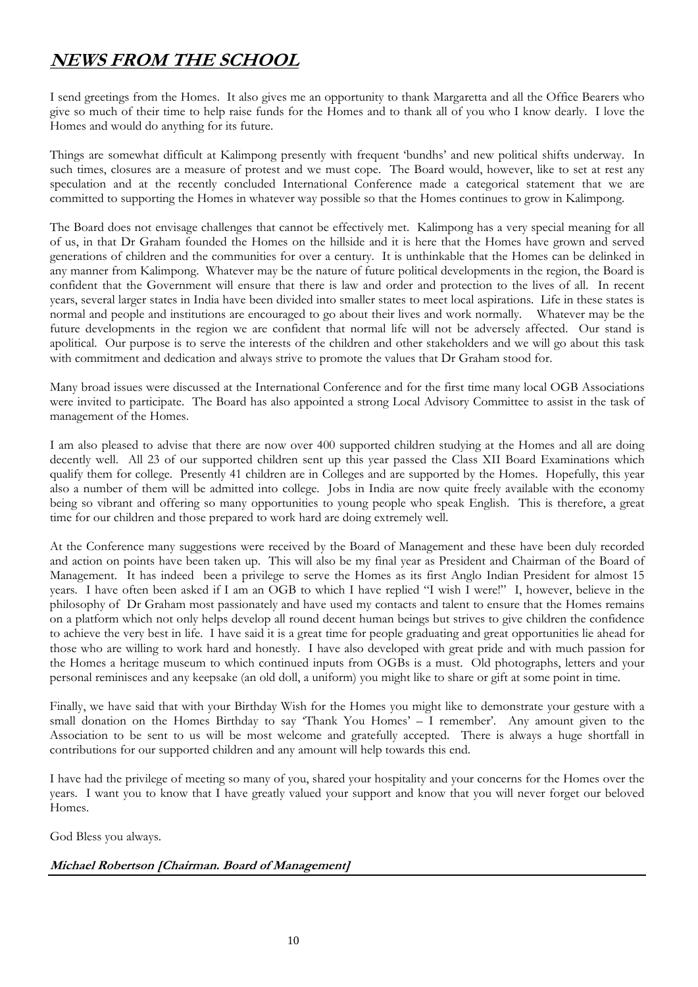## **NEWS FROM THE SCHOOL**

I send greetings from the Homes. It also gives me an opportunity to thank Margaretta and all the Office Bearers who give so much of their time to help raise funds for the Homes and to thank all of you who I know dearly. I love the Homes and would do anything for its future.

Things are somewhat difficult at Kalimpong presently with frequent 'bundhs' and new political shifts underway. In such times, closures are a measure of protest and we must cope. The Board would, however, like to set at rest any speculation and at the recently concluded International Conference made a categorical statement that we are committed to supporting the Homes in whatever way possible so that the Homes continues to grow in Kalimpong.

The Board does not envisage challenges that cannot be effectively met. Kalimpong has a very special meaning for all of us, in that Dr Graham founded the Homes on the hillside and it is here that the Homes have grown and served generations of children and the communities for over a century. It is unthinkable that the Homes can be delinked in any manner from Kalimpong. Whatever may be the nature of future political developments in the region, the Board is confident that the Government will ensure that there is law and order and protection to the lives of all. In recent years, several larger states in India have been divided into smaller states to meet local aspirations. Life in these states is normal and people and institutions are encouraged to go about their lives and work normally. Whatever may be the future developments in the region we are confident that normal life will not be adversely affected. Our stand is apolitical. Our purpose is to serve the interests of the children and other stakeholders and we will go about this task with commitment and dedication and always strive to promote the values that Dr Graham stood for.

Many broad issues were discussed at the International Conference and for the first time many local OGB Associations were invited to participate. The Board has also appointed a strong Local Advisory Committee to assist in the task of management of the Homes.

I am also pleased to advise that there are now over 400 supported children studying at the Homes and all are doing decently well. All 23 of our supported children sent up this year passed the Class XII Board Examinations which qualify them for college. Presently 41 children are in Colleges and are supported by the Homes. Hopefully, this year also a number of them will be admitted into college. Jobs in India are now quite freely available with the economy being so vibrant and offering so many opportunities to young people who speak English. This is therefore, a great time for our children and those prepared to work hard are doing extremely well.

At the Conference many suggestions were received by the Board of Management and these have been duly recorded and action on points have been taken up. This will also be my final year as President and Chairman of the Board of Management. It has indeed been a privilege to serve the Homes as its first Anglo Indian President for almost 15 years. I have often been asked if I am an OGB to which I have replied "I wish I were!" I, however, believe in the philosophy of Dr Graham most passionately and have used my contacts and talent to ensure that the Homes remains on a platform which not only helps develop all round decent human beings but strives to give children the confidence to achieve the very best in life. I have said it is a great time for people graduating and great opportunities lie ahead for those who are willing to work hard and honestly. I have also developed with great pride and with much passion for the Homes a heritage museum to which continued inputs from OGBs is a must. Old photographs, letters and your personal reminisces and any keepsake (an old doll, a uniform) you might like to share or gift at some point in time.

Finally, we have said that with your Birthday Wish for the Homes you might like to demonstrate your gesture with a small donation on the Homes Birthday to say 'Thank You Homes' – I remember'. Any amount given to the Association to be sent to us will be most welcome and gratefully accepted. There is always a huge shortfall in contributions for our supported children and any amount will help towards this end.

I have had the privilege of meeting so many of you, shared your hospitality and your concerns for the Homes over the years. I want you to know that I have greatly valued your support and know that you will never forget our beloved Homes.

God Bless you always.

#### **Michael Robertson [Chairman. Board of Management]**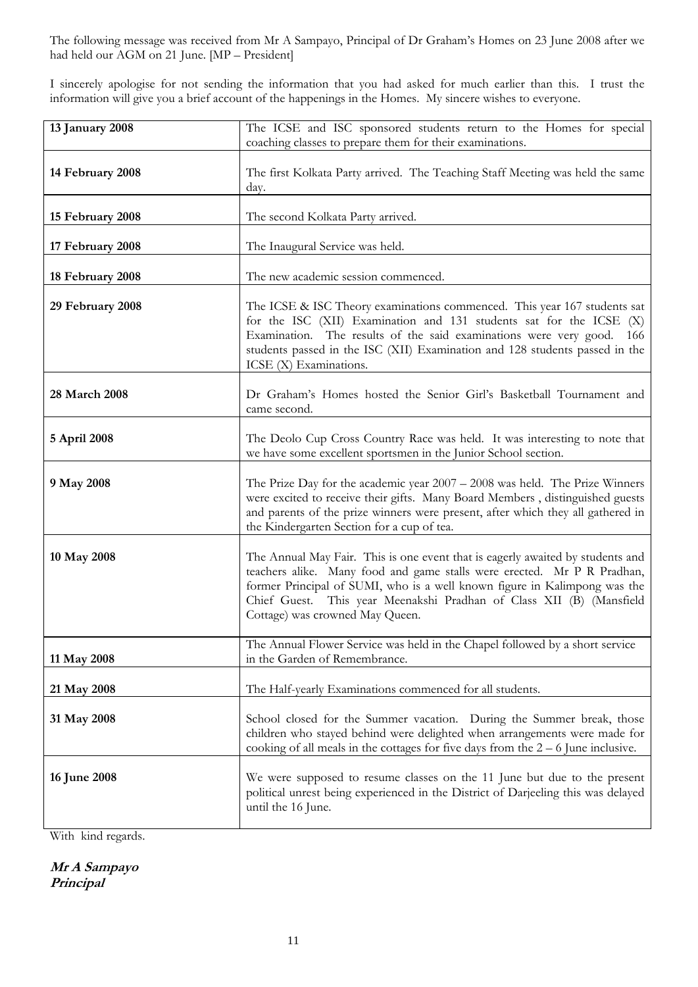The following message was received from Mr A Sampayo, Principal of Dr Graham's Homes on 23 June 2008 after we had held our AGM on 21 June. [MP – President]

I sincerely apologise for not sending the information that you had asked for much earlier than this. I trust the information will give you a brief account of the happenings in the Homes. My sincere wishes to everyone.

| 13 January 2008  | The ICSE and ISC sponsored students return to the Homes for special<br>coaching classes to prepare them for their examinations.                                                                                                                                                                                                                   |
|------------------|---------------------------------------------------------------------------------------------------------------------------------------------------------------------------------------------------------------------------------------------------------------------------------------------------------------------------------------------------|
| 14 February 2008 | The first Kolkata Party arrived. The Teaching Staff Meeting was held the same<br>day.                                                                                                                                                                                                                                                             |
| 15 February 2008 | The second Kolkata Party arrived.                                                                                                                                                                                                                                                                                                                 |
| 17 February 2008 | The Inaugural Service was held.                                                                                                                                                                                                                                                                                                                   |
| 18 February 2008 | The new academic session commenced.                                                                                                                                                                                                                                                                                                               |
| 29 February 2008 | The ICSE & ISC Theory examinations commenced. This year $167$ students sat<br>for the ISC (XII) Examination and 131 students sat for the ICSE (X)<br>Examination. The results of the said examinations were very good.<br>- 166<br>students passed in the ISC (XII) Examination and 128 students passed in the<br>ICSE (X) Examinations.          |
| 28 March 2008    | Dr Graham's Homes hosted the Senior Girl's Basketball Tournament and<br>came second.                                                                                                                                                                                                                                                              |
| 5 April 2008     | The Deolo Cup Cross Country Race was held. It was interesting to note that<br>we have some excellent sportsmen in the Junior School section.                                                                                                                                                                                                      |
| 9 May 2008       | The Prize Day for the academic year 2007 - 2008 was held. The Prize Winners<br>were excited to receive their gifts. Many Board Members, distinguished guests<br>and parents of the prize winners were present, after which they all gathered in<br>the Kindergarten Section for a cup of tea.                                                     |
| 10 May 2008      | The Annual May Fair. This is one event that is eagerly awaited by students and<br>teachers alike. Many food and game stalls were erected. Mr P R Pradhan,<br>former Principal of SUMI, who is a well known figure in Kalimpong was the<br>Chief Guest. This year Meenakshi Pradhan of Class XII (B) (Mansfield<br>Cottage) was crowned May Queen. |
| 11 May 2008      | The Annual Flower Service was held in the Chapel followed by a short service<br>in the Garden of Remembrance.                                                                                                                                                                                                                                     |
| 21 May 2008      | The Half-yearly Examinations commenced for all students.                                                                                                                                                                                                                                                                                          |
| 31 May 2008      | School closed for the Summer vacation. During the Summer break, those<br>children who stayed behind were delighted when arrangements were made for<br>cooking of all meals in the cottages for five days from the $2 - 6$ June inclusive.                                                                                                         |
| 16 June 2008     | We were supposed to resume classes on the 11 June but due to the present<br>political unrest being experienced in the District of Darjeeling this was delayed<br>until the 16 June.                                                                                                                                                               |

With kind regards.

**Mr A Sampayo Principal**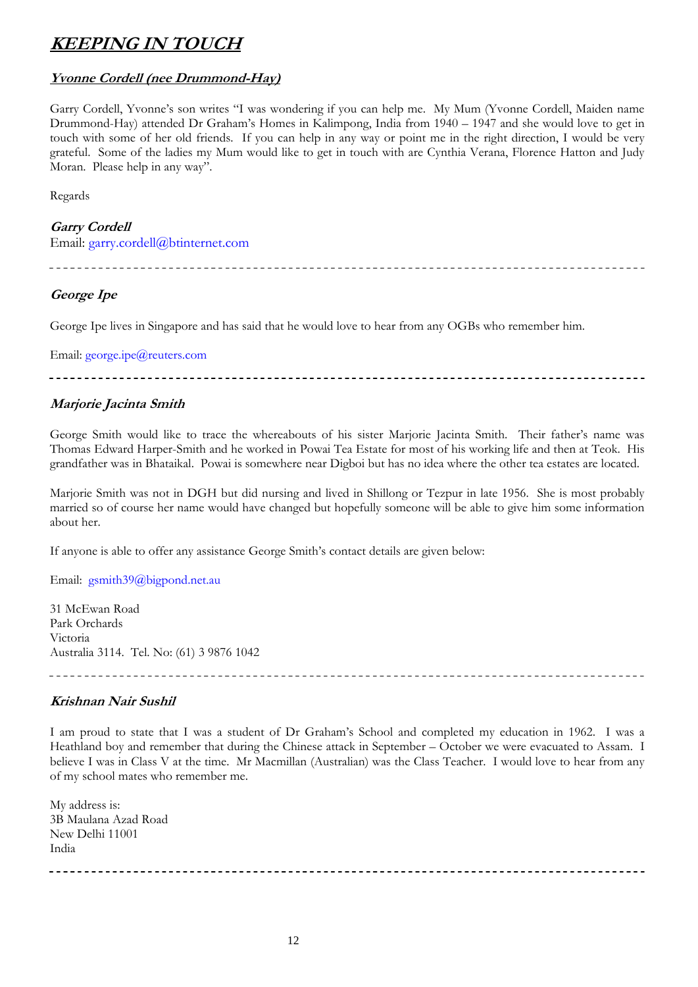### **KEEPING IN TOUCH**

#### **Yvonne Cordell (nee Drummond-Hay)**

Garry Cordell, Yvonne's son writes "I was wondering if you can help me. My Mum (Yvonne Cordell, Maiden name Drummond-Hay) attended Dr Graham's Homes in Kalimpong, India from 1940 – 1947 and she would love to get in touch with some of her old friends. If you can help in any way or point me in the right direction, I would be very grateful. Some of the ladies my Mum would like to get in touch with are Cynthia Verana, Florence Hatton and Judy Moran. Please help in any way".

Regards

#### **Garry Cordell**

Email: garry.cordell@btinternet.com

#### **George Ipe**

George Ipe lives in Singapore and has said that he would love to hear from any OGBs who remember him.

Email: george.ipe@reuters.com

-----------------------------------

#### **Marjorie Jacinta Smith**

George Smith would like to trace the whereabouts of his sister Marjorie Jacinta Smith. Their father's name was Thomas Edward Harper-Smith and he worked in Powai Tea Estate for most of his working life and then at Teok. His grandfather was in Bhataikal. Powai is somewhere near Digboi but has no idea where the other tea estates are located.

Marjorie Smith was not in DGH but did nursing and lived in Shillong or Tezpur in late 1956. She is most probably married so of course her name would have changed but hopefully someone will be able to give him some information about her.

If anyone is able to offer any assistance George Smith's contact details are given below:

Email: gsmith39@bigpond.net.au

31 McEwan Road Park Orchards Victoria Australia 3114. Tel. No: (61) 3 9876 1042

#### **Krishnan Nair Sushil**

I am proud to state that I was a student of Dr Graham's School and completed my education in 1962. I was a Heathland boy and remember that during the Chinese attack in September – October we were evacuated to Assam. I believe I was in Class V at the time. Mr Macmillan (Australian) was the Class Teacher. I would love to hear from any of my school mates who remember me.

My address is: 3B Maulana Azad Road New Delhi 11001 India